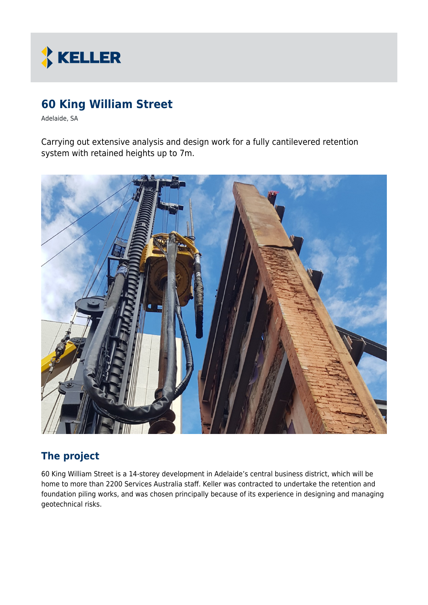

# **60 King William Street**

Adelaide, SA

Carrying out extensive analysis and design work for a fully cantilevered retention system with retained heights up to 7m.



### **The project**

60 King William Street is a 14-storey development in Adelaide's central business district, which will be home to more than 2200 Services Australia staff. Keller was contracted to undertake the retention and foundation piling works, and was chosen principally because of its experience in designing and managing geotechnical risks.